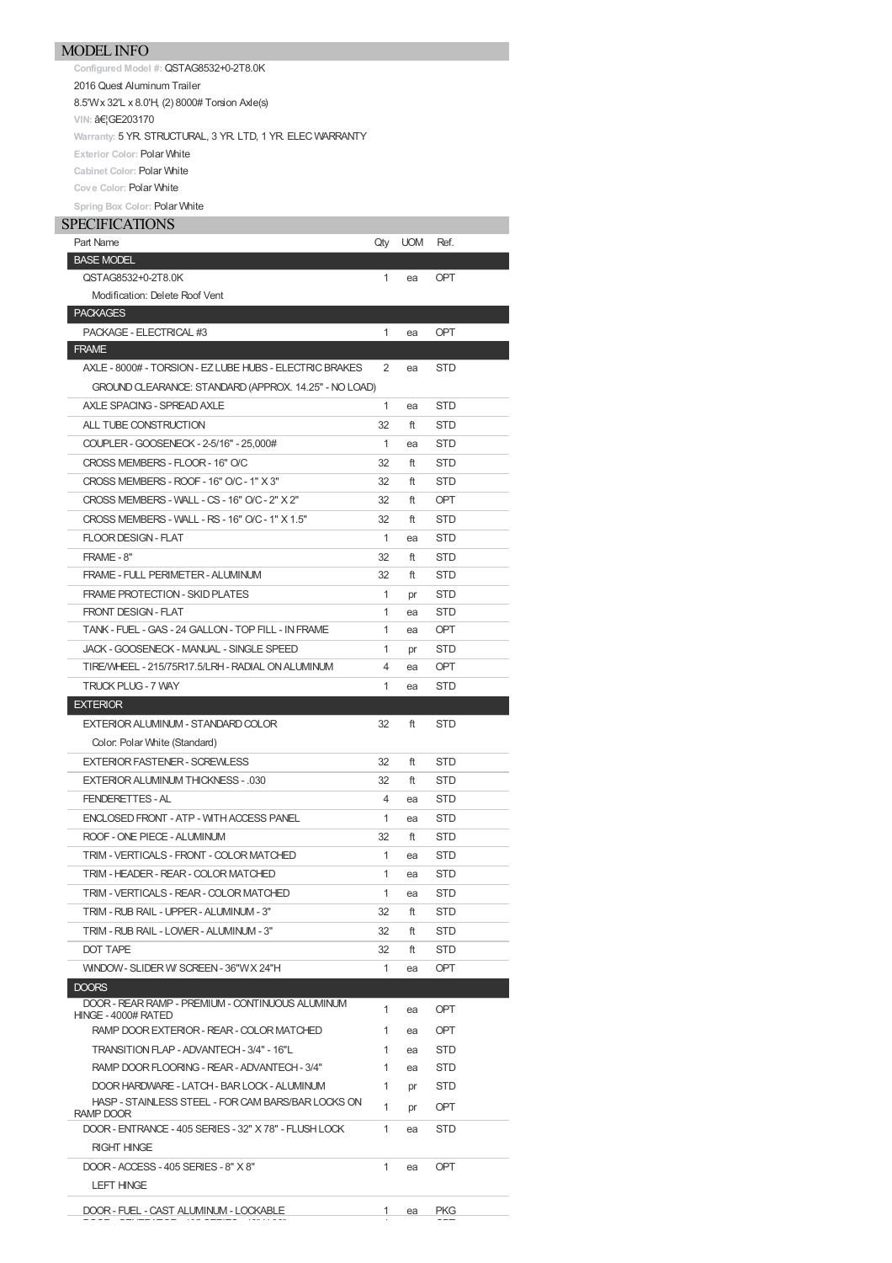## MODEL INFO

**Configured Model #:** QSTAG8532+0-2T8.0K

2016 Quest Aluminum Trailer

8.5'Wx 32'L x 8.0'H, (2) 8000# Torsion Axle(s)

**VIN: …GE203170** 

Warranty: 5 YR. STRUCTURAL, 3 YR. LTD, 1 YR. ELEC WARRANTY

**Exterior Color:** Polar White

**Cabinet Color:** Polar White

**Cove Color:** Polar White

## **Spring Box Color:** Polar White

| <b>SPECIFICATIONS</b>                                           |              |            |            |
|-----------------------------------------------------------------|--------------|------------|------------|
| Part Name                                                       | Qty          | <b>UOM</b> | Ref.       |
| <b>BASE MODEL</b>                                               |              |            |            |
| QSTAG8532+0-2T8.0K                                              | $\mathbf{1}$ | ea         | <b>OPT</b> |
| Modification: Delete Roof Vent                                  |              |            |            |
| <b>PACKAGES</b>                                                 |              |            |            |
| PACKAGE - ELECTRICAL #3                                         | 1            | ea         | <b>OPT</b> |
| <b>FRAME</b>                                                    |              |            |            |
| AXLE - 8000# - TORSION - EZ LUBE HUBS - ELECTRIC BRAKES         | 2            | ea         | <b>STD</b> |
| GROUND CLEARANCE: STANDARD (APPROX. 14.25" - NO LOAD)           |              |            |            |
| AXLE SPACING - SPREAD AXLE                                      | 1            | ea         | <b>STD</b> |
| ALL TUBE CONSTRUCTION                                           | 32           | ft         | <b>STD</b> |
| COUPLER - GOOSENECK - 2-5/16" - 25,000#                         | 1            | ea         | STD        |
| CROSS MEMBERS - FLOOR - 16" O/C                                 | 32           | ft         | <b>STD</b> |
| CROSS MEMBERS - ROOF - 16" O/C - 1" X 3"                        | 32           | ft         | <b>STD</b> |
| CROSS MEMBERS - WALL - CS - 16" O/C - 2" X 2"                   | 32           | ft         | <b>OPT</b> |
| CROSS MEMBERS - WALL - RS - 16" O/C - 1" X 1.5"                 | 32           | ft         | <b>STD</b> |
| FLOOR DESIGN - FLAT                                             | $\mathbf{1}$ | ea         | <b>STD</b> |
| FRAME - 8"                                                      | 32           | ft         | <b>STD</b> |
| FRAME - FULL PERIMETER - ALUMINUM                               | 32           | ft         | STD        |
| <b>FRAME PROTECTION - SKID PLATES</b>                           | 1            | pr         | <b>STD</b> |
| <b>FRONT DESIGN - FLAT</b>                                      | 1            | ea         | <b>STD</b> |
| TANK - FUEL - GAS - 24 GALLON - TOP FILL - IN FRAME             | 1            | ea         | OPT        |
| JACK - GOOSENECK - MANUAL - SINGLE SPEED                        | 1            |            | <b>STD</b> |
| TIRE/WHEEL - 215/75R17.5/LRH - RADIAL ON ALUMINUM               | 4            | pr         | OPT        |
|                                                                 | 1            | ea         |            |
| <b>TRUCK PLUG - 7 WAY</b><br><b>EXTERIOR</b>                    |              | ea         | STD        |
| EXTERIOR ALUMINUM - STANDARD COLOR                              | 32           | ft         | <b>STD</b> |
|                                                                 |              |            |            |
| Color: Polar White (Standard)                                   |              |            |            |
| <b>EXTERIOR FASTENER - SCREWLESS</b>                            | 32           | ft         | <b>STD</b> |
| EXTERIOR ALUMINUM THICKNESS - .030                              | 32           | ft         | <b>STD</b> |
| FENDERETTES - AL                                                | 4            | ea         | STD        |
| ENCLOSED FRONT - ATP - WITH ACCESS PANEL                        | $\mathbf{1}$ | ea         | <b>STD</b> |
| ROOF - ONE PIECE - ALUMINUM                                     | 32           | ft         | <b>STD</b> |
| TRIM - VERTICALS - FRONT - COLOR MATCHED                        | 1            | ea         | STD        |
| TRIM - HEADER - REAR - COLOR MATCHED                            | 1            | ea         | <b>STD</b> |
| TRIM - VERTICALS - REAR - COLOR MATCHED                         | 1            | ea         | STD        |
| TRIM - RUB RAIL - UPPER - ALUMINUM - 3"                         | 32           | ft         | STD        |
| TRIM - RUB RAIL - LOWER - ALUMINUM - 3"                         | 32           | ft         | STD        |
| <b>DOT TAPE</b>                                                 | 32           | ft         | STD        |
| WINDOW - SLIDER W SCREEN - 36"WX 24"H                           | 1            | ea         | OPT        |
| <b>DOORS</b>                                                    |              |            |            |
| DOOR - REAR RAMP - PREMIUM - CONTINUOUS ALUMINUM                | 1            | ea         | <b>OPT</b> |
| HINGE - 4000# RATED                                             |              |            |            |
| RAMP DOOR EXTERIOR - REAR - COLOR MATCHED                       | 1            | ea         | OPT        |
| TRANSITION FLAP - ADVANTECH - 3/4" - 16"L                       | 1            | ea         | STD        |
| RAMP DOOR FLOORING - REAR - ADVANTECH - 3/4"                    | 1            | ea         | STD        |
| DOOR HARDWARE - LATCH - BAR LOCK - ALUMINUM                     | 1            | pr         | STD        |
| HASP - STAINLESS STEEL - FOR CAM BARS/BAR LOCKS ON<br>RAMP DOOR | 1            | pr         | <b>OPT</b> |
| DOOR - ENTRANCE - 405 SERIES - 32" X 78" - FLUSH LOCK           | 1            | ea         | STD        |
| <b>RIGHT HINGE</b>                                              |              |            |            |
| DOOR - ACCESS - 405 SERIES - 8" X 8"                            | 1            | ea         | OPT        |
| <b>LEFT HINGE</b>                                               |              |            |            |
|                                                                 |              |            |            |
| DOOR - FUEL - CAST ALUMINUM - LOCKABLE                          | $\mathbf{1}$ | ea         | <b>PKG</b> |
|                                                                 |              |            |            |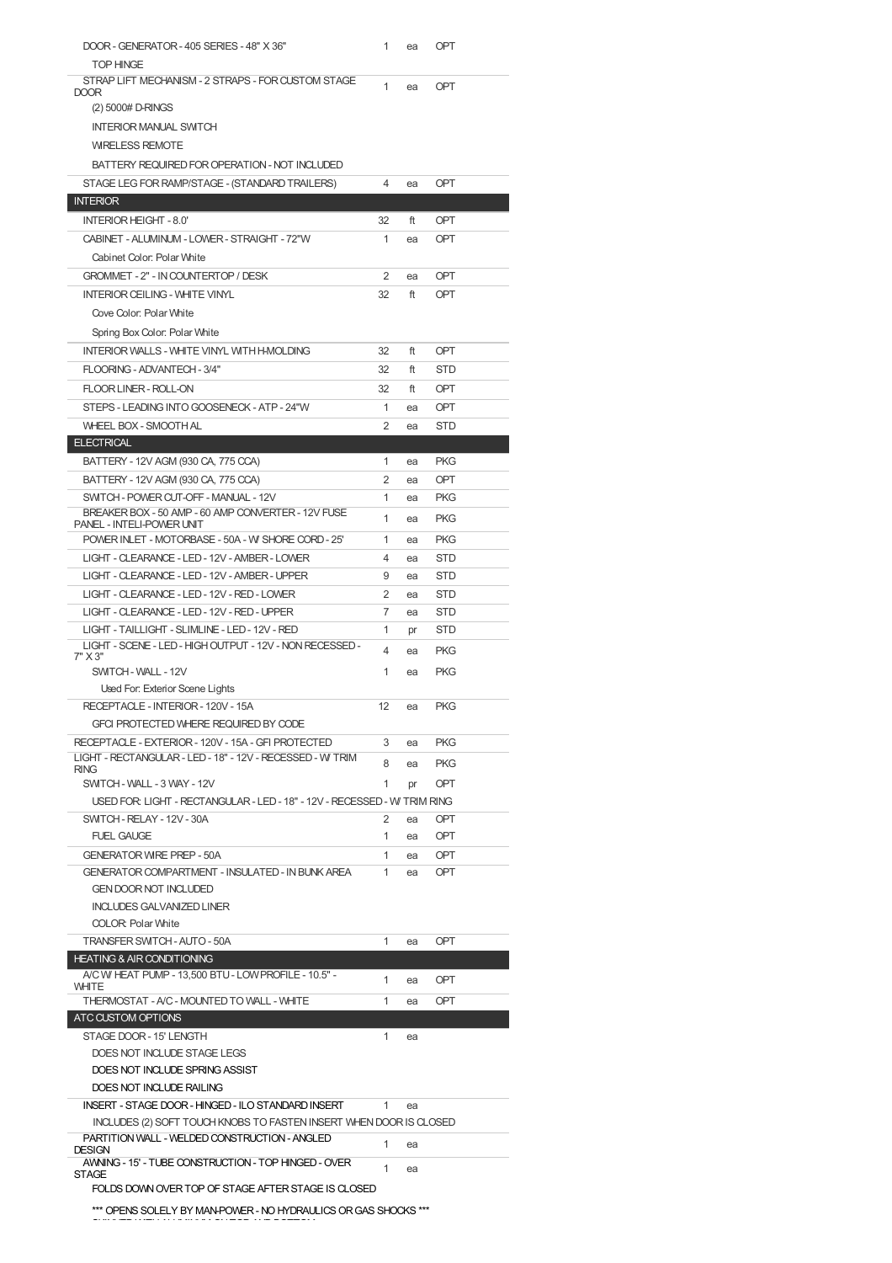| DOOR - GENERATOR - 405 SERIES - 48" X 36"<br><b>TOP HINGE</b>                          | 1              | ea | OPT        |
|----------------------------------------------------------------------------------------|----------------|----|------------|
| STRAP LIFT MECHANISM - 2 STRAPS - FOR CUSTOM STAGE<br>DOOR                             | 1              | ea | <b>OPT</b> |
| (2) 5000# D-RINGS                                                                      |                |    |            |
| <b>INTERIOR MANUAL SWITCH</b>                                                          |                |    |            |
| <b>WRELESS REMOTE</b>                                                                  |                |    |            |
| BATTERY REQUIRED FOR OPERATION - NOT INCLUDED                                          |                |    |            |
| STAGE LEG FOR RAMP/STAGE - (STANDARD TRAILERS)                                         | 4              | ea | OPT        |
| <b>INTERIOR</b>                                                                        |                |    |            |
| <b>INTERIOR HEIGHT - 8.0'</b>                                                          | 32             | ft | <b>OPT</b> |
| CABINET - ALUMINUM - LOWER - STRAIGHT - 72"W                                           | 1              | ea | OPT        |
| Cabinet Color: Polar White                                                             |                |    |            |
| GROMMET - 2" - IN COUNTERTOP / DESK                                                    | 2              | ea | <b>OPT</b> |
| <b>INTERIOR CEILING - WHITE VINYL</b>                                                  | 32             | ft | OPT        |
| Cove Color: Polar White                                                                |                |    |            |
| Spring Box Color: Polar White                                                          |                |    |            |
| INTERIOR WALLS - WHITE VINYL WITH H-MOLDING                                            | 32             | ft | <b>OPT</b> |
| FLOORING - ADVANTECH - 3/4"                                                            | 32             | ft | <b>STD</b> |
| FLOOR LINER - ROLL-ON                                                                  | 32             | ft | OPT        |
| STEPS - LEADING INTO GOOSENECK - ATP - 24"W                                            | 1              | ea | OPT        |
| <b>WHEEL BOX - SMOOTH AL</b>                                                           | $\overline{2}$ | ea | <b>STD</b> |
| <b>ELECTRICAL</b>                                                                      |                |    |            |
| BATTERY - 12V AGM (930 CA, 775 CCA)                                                    | 1              | ea | <b>PKG</b> |
| BATTERY - 12V AGM (930 CA, 775 CCA)                                                    | $\overline{2}$ | ea | OPT        |
| SWITCH - POWER CUT-OFF - MANUAL - 12V                                                  | 1              | ea | <b>PKG</b> |
| BREAKER BOX - 50 AMP - 60 AMP CONVERTER - 12V FUSE<br><b>PANEL - INTELI-POWER UNIT</b> | 1              | ea | <b>PKG</b> |
| POWER INLET - MOTORBASE - 50A - W SHORE CORD - 25'                                     | 1              | ea | <b>PKG</b> |
| LIGHT - CLEARANCE - LED - 12V - AMBER - LOWER                                          | 4              | ea | <b>STD</b> |
| LIGHT - CLEARANCE - LED - 12V - AMBER - UPPER                                          | 9              | ea | <b>STD</b> |
| LIGHT - CLEARANCE - LED - 12V - RED - LOWER                                            | 2              | ea | <b>STD</b> |
| LIGHT - CLEARANCE - LED - 12V - RED - UPPER                                            | 7              | ea | <b>STD</b> |
| LIGHT - TAILLIGHT - SLIMLINE - LED - 12V - RED                                         | 1              | pr | <b>STD</b> |
| LIGHT - SCENE - LED - HIGH OUTPUT - 12V - NON RECESSED -<br>7" X 3"                    | 4              | ea | <b>PKG</b> |
| SWITCH - WALL - 12V                                                                    | 1              | ea | <b>PKG</b> |
| Used For: Exterior Scene Lights                                                        |                |    |            |
| RECEPTACLE - INTERIOR - 120V - 15A                                                     | 12             | ea | <b>PKG</b> |
|                                                                                        |                |    |            |
| GFCI PROTECTED WHERE REQUIRED BY CODE                                                  |                |    |            |
| RECEPTACLE - EXTERIOR - 120V - 15A - GFI PROTECTED                                     | 3              | ea | <b>PKG</b> |
| LIGHT - RECTANGULAR - LED - 18" - 12V - RECESSED - W TRIM                              | 8              | ea | <b>PKG</b> |
| <b>RING</b><br>SWITCH - WALL - 3 WAY - 12V                                             | 1              | pr | OPT        |
| USED FOR: LIGHT - RECTANGULAR - LED - 18" - 12V - RECESSED - W TRIM RING               |                |    |            |
| SWITCH - RELAY - 12V - 30A                                                             | $\overline{2}$ | ea | OPT        |
| <b>FUEL GAUGE</b>                                                                      | 1              | ea | OPT        |
| <b>GENERATOR WRE PREP - 50A</b>                                                        | 1              | ea | <b>OPT</b> |
| GENERATOR COMPARTMENT - INSULATED - IN BUNK AREA                                       | 1              | ea | <b>OPT</b> |
| <b>GEN DOOR NOT INCLUDED</b>                                                           |                |    |            |
| <b>INCLUDES GALVANIZED LINER</b>                                                       |                |    |            |
| <b>COLOR: Polar White</b>                                                              |                |    |            |
| TRANSFER SWITCH - AUTO - 50A                                                           | 1              | ea | OPT        |
| <b>HEATING &amp; AIR CONDITIONING</b>                                                  |                |    |            |
| A/C W/ HEAT PUMP - 13,500 BTU - LOW PROFILE - 10.5" -<br>WHITE                         | 1              | ea | <b>OPT</b> |
| THERMOSTAT - A/C - MOUNTED TO WALL - WHITE                                             | 1              | ea | <b>OPT</b> |
| ATC CUSTOM OPTIONS                                                                     |                |    |            |
| STAGE DOOR - 15' LENGTH                                                                | 1              | ea |            |
| DOES NOT INCLUDE STAGE LEGS                                                            |                |    |            |
| DOES NOT INCLUDE SPRING ASSIST<br>DOES NOT INCLUDE RAILING                             |                |    |            |
| INSERT - STAGE DOOR - HINGED - ILO STANDARD INSERT                                     | 1.             | ea |            |
| INCLUDES (2) SOFT TOUCH KNOBS TO FASTEN INSERT WHEN DOOR IS CLOSED                     |                |    |            |
| PARTITION WALL - WELDED CONSTRUCTION - ANGLED                                          | 1              | ea |            |
| <b>DESIGN</b><br>AWNING - 15' - TUBE CONSTRUCTION - TOP HINGED - OVER                  |                |    |            |
| <b>STAGE</b>                                                                           | 1              | ea |            |
| FOLDS DOWN OVER TOP OF STAGE AFTER STAGE IS CLOSED                                     |                |    |            |

SKINNEDWITHALUMINUM ONTOP ANDBOTTOM